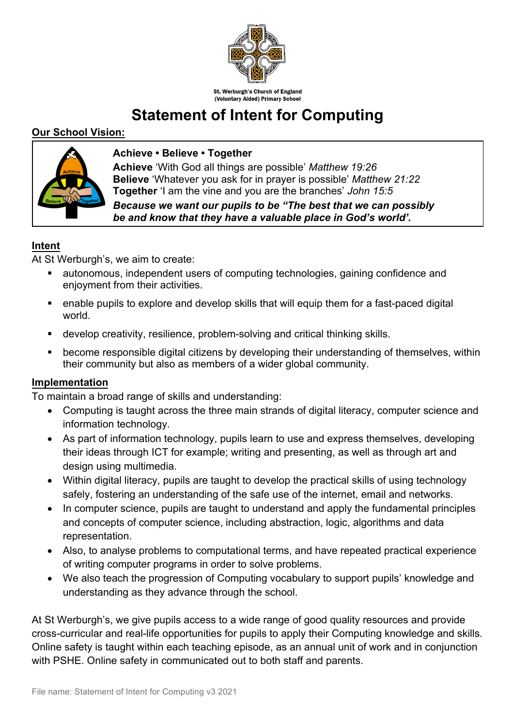

(Voluntary Aided) Primary School

## **Statement of Intent for Computing**

## **Our School Vision:**



### **Achieve • Believe • Together**

**Achieve** 'With God all things are possible' *Matthew 19:26* **Believe** 'Whatever you ask for in prayer is possible' *Matthew 21:22* **Together** 'I am the vine and you are the branches' *John 15:5*

*Because we want our pupils to be "The best that we can possibly be and know that they have a valuable place in God's world'.*

## **Intent**

At St Werburgh's, we aim to create:

- § autonomous, independent users of computing technologies, gaining confidence and enjoyment from their activities.
- enable pupils to explore and develop skills that will equip them for a fast-paced digital world.
- develop creativity, resilience, problem-solving and critical thinking skills.
- become responsible digital citizens by developing their understanding of themselves, within their community but also as members of a wider global community.

## **Implementation**

To maintain a broad range of skills and understanding:

- Computing is taught across the three main strands of digital literacy, computer science and information technology.
- As part of information technology, pupils learn to use and express themselves, developing their ideas through ICT for example; writing and presenting, as well as through art and design using multimedia.
- Within digital literacy, pupils are taught to develop the practical skills of using technology safely, fostering an understanding of the safe use of the internet, email and networks.
- In computer science, pupils are taught to understand and apply the fundamental principles and concepts of computer science, including abstraction, logic, algorithms and data representation.
- Also, to analyse problems to computational terms, and have repeated practical experience of writing computer programs in order to solve problems.
- We also teach the progression of Computing vocabulary to support pupils' knowledge and understanding as they advance through the school.

At St Werburgh's, we give pupils access to a wide range of good quality resources and provide cross-curricular and real-life opportunities for pupils to apply their Computing knowledge and skills. Online safety is taught within each teaching episode, as an annual unit of work and in conjunction with PSHE. Online safety in communicated out to both staff and parents.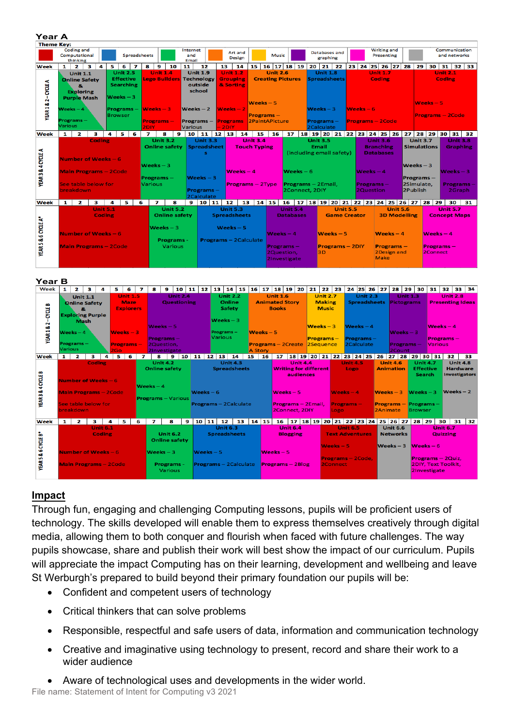| I GAI A                               |                                                                                                        |                                                                                                 |                           |              |                                                                                                             |                     |                                                                                       |                      |                                                    |                                                                                      |                                                                                      |                                        |                                        |                                  |                                                                  |                               |                                                                    |                                                                            |  |                                                               |                                                         |  |                         |                                                                  |                                                                          |              |  |
|---------------------------------------|--------------------------------------------------------------------------------------------------------|-------------------------------------------------------------------------------------------------|---------------------------|--------------|-------------------------------------------------------------------------------------------------------------|---------------------|---------------------------------------------------------------------------------------|----------------------|----------------------------------------------------|--------------------------------------------------------------------------------------|--------------------------------------------------------------------------------------|----------------------------------------|----------------------------------------|----------------------------------|------------------------------------------------------------------|-------------------------------|--------------------------------------------------------------------|----------------------------------------------------------------------------|--|---------------------------------------------------------------|---------------------------------------------------------|--|-------------------------|------------------------------------------------------------------|--------------------------------------------------------------------------|--------------|--|
| <b>Theme Key:</b>                     |                                                                                                        |                                                                                                 |                           |              |                                                                                                             |                     |                                                                                       |                      |                                                    |                                                                                      |                                                                                      |                                        |                                        |                                  |                                                                  |                               |                                                                    |                                                                            |  |                                                               |                                                         |  |                         |                                                                  |                                                                          |              |  |
|                                       | <b>Coding and</b><br>Computational<br>thinking                                                         |                                                                                                 |                           |              |                                                                                                             | <b>Spreadsheets</b> |                                                                                       |                      | Internet<br>and<br>Email                           |                                                                                      |                                                                                      | Art and<br><b>Design</b>               |                                        |                                  | <b>Music</b>                                                     |                               |                                                                    | Databases and<br>graphing                                                  |  |                                                               | <b>Writing and</b><br>Presenting                        |  |                         | Communication                                                    |                                                                          | and networks |  |
| Week                                  | 1                                                                                                      | $\mathbf{3}$<br>2 <sup>1</sup>                                                                  | 4                         | 5            | 6                                                                                                           | 7<br>8              | 9                                                                                     | 10                   | 11                                                 | 12                                                                                   | 13                                                                                   | 14                                     | 15                                     |                                  |                                                                  | $16$ 17 18 19                 |                                                                    | $20$ 21 22                                                                 |  |                                                               | 23 24 25 26 27 28                                       |  | 29                      |                                                                  | $30 \mid 31 \mid 32 \mid 33$                                             |              |  |
| <b>CYCLE A</b><br><b>YEAR1&amp;2-</b> | <b>Unit 1.1</b><br><b>Online Safety</b><br>8.<br><b>Exploring</b><br><b>Purple Mash</b><br>$Weeks - 4$ |                                                                                                 |                           |              | <b>Unit 2.5</b><br><b>Effective</b><br><b>Searching</b><br>$Weeks - 3$<br><b>Programs</b><br><b>Browser</b> |                     | <b>Unit 1.4</b><br>Lego Builders Technology<br>$Weeks - 3$                            |                      | <b>Unit 1.9</b><br>outside<br>school<br>Weeks $-2$ |                                                                                      | <b>Unit 1.2</b><br><b>Grouping</b><br>& Sorting<br>$Weeks - 2$                       |                                        |                                        | $Weeks - 5$<br><b>Programs</b> - | <b>Unit 2.6</b><br><b>Creating Pictures</b>                      |                               |                                                                    | <b>Unit 1.8</b><br><b>Spreadsheets</b><br>$Weeks - 3$                      |  | $Weeks - 6$                                                   | <b>Unit 1.7</b><br><b>Coding</b>                        |  |                         | $Weeks - 5$                                                      | <b>Unit 2.1</b><br><b>Coding</b><br><b>Programs - 2Code</b>              |              |  |
|                                       | <b>Various</b>                                                                                         | Programs-                                                                                       |                           |              |                                                                                                             |                     | Programs-<br><b>2DIY</b>                                                              |                      |                                                    | Programs-<br><b>Various</b>                                                          |                                                                                      | <b>Programs</b><br>2DIY                |                                        | 2PaintAPicture                   |                                                                  |                               | Programs-<br>2Calculate                                            |                                                                            |  |                                                               | <b>Programs-2Code</b>                                   |  |                         |                                                                  |                                                                          |              |  |
| Week                                  | 1                                                                                                      | $\mathbf{z}$                                                                                    | з                         | 4            | 5.                                                                                                          | 6                   | $\mathbf{z}$                                                                          | 8<br>9               |                                                    | 10 11                                                                                | 12 13                                                                                | 14                                     | 15                                     | 16                               |                                                                  | 17                            |                                                                    | 18   19   20   21   22   23   24   25   26                                 |  |                                                               |                                                         |  | 27 <sup>1</sup>         | 28   29   30   31   32                                           |                                                                          |              |  |
| YEAR 3 & 4 CYCLE A                    |                                                                                                        | Number of Weeks $-6$<br><b>Main Programs - 2Code</b><br>See table below for<br><b>breakdown</b> | <b>Coding</b>             |              |                                                                                                             |                     | <b>Unit 3.2</b><br>$Weeks - 3$<br>Programs-<br>Various                                | <b>Online safety</b> |                                                    | <b>Unit 3.3</b><br><b>Spreadsheet</b><br>e<br>$Weeks - 3$<br>Programs-<br>2Calculate |                                                                                      | $Weeks - 4$<br><b>Programs - 2Type</b> | <b>Unit 3.4</b><br><b>Touch Typing</b> |                                  |                                                                  | $Weeks - 6$<br>2Connect, 2DIY |                                                                    | <b>Unit 3.5</b><br>Email<br>(including email safety)<br>Programs - 2Email, |  | $Weeks - 4$<br>Programs-<br>2Question                         | <b>Unit 3.6</b><br><b>Branching</b><br><b>Databases</b> |  | $Weeks - 3$<br>2Publish | <b>Unit 3.7</b><br><b>Simulations</b><br>Programs-<br>2Simulate. | <b>Unit 3.8</b><br><b>Graphing</b><br>$Weeks - 3$<br>Programs-<br>2Graph |              |  |
| Week                                  | $1 \vert$                                                                                              | $\mathbf{z}$                                                                                    | 3                         | $\mathbf{A}$ | 5.                                                                                                          | 6                   | $\overline{\mathbf{z}}$                                                               | 8                    | 9 <sup>1</sup>                                     | 10 11                                                                                |                                                                                      | 12                                     | 13                                     |                                  |                                                                  |                               |                                                                    | 14   15   16   17   18   19   20   21   22   23   24   25   26   27        |  |                                                               |                                                         |  |                         | 28 29                                                            | 30                                                                       | 31           |  |
| YEAR 5 & 6 CYCLE A*                   |                                                                                                        | Number of Weeks $-6$<br><b>Main Programs - 2Code</b>                                            | Unit 5.1<br><b>Coding</b> |              |                                                                                                             |                     | <b>Unit 5.2</b><br><b>Online safety</b><br>$Weeks - 3$<br><b>Programs-</b><br>Various |                      |                                                    |                                                                                      | <b>Unit 5.3</b><br><b>Spreadsheets</b><br>Weeks $-5$<br><b>Programs</b> - 2Calculate |                                        |                                        | $Weeks - 4$<br>2Question,        | <b>Unit 5.4</b><br><b>Databases</b><br>Programs-<br>2Investigate |                               | <b>Game Creator</b><br>$Weeks - 5$<br><b>Programs</b> - 2DIY<br>3D | <b>Unit 5.5</b>                                                            |  | $Weeks - 4$<br><b>Programs-</b><br>2Design and<br><b>Make</b> | <b>Unit 5.6</b><br><b>3D Modelling</b>                  |  | $Weeks - 4$<br>2Connect | <b>Unit 5.7</b><br><b>Concept Maps</b><br>Programs-              |                                                                          |              |  |

| Year B                                                                                        |  |               |                                   |   |         |                              |                                   |                                                                                 |                                                                          |              |                |             |                              |                                            |                                        |                             |                               |                                                   |                                                            |                                                   |             |                                                      |                                                                                      |                                                                           |                                                           |                                          |                                 |                                    |                                     |                                                                                                             |             |                                    |                                                                                                                |                                                             |                                            |                                                                                                                                                                              |                                                                                                                    |  |
|-----------------------------------------------------------------------------------------------|--|---------------|-----------------------------------|---|---------|------------------------------|-----------------------------------|---------------------------------------------------------------------------------|--------------------------------------------------------------------------|--------------|----------------|-------------|------------------------------|--------------------------------------------|----------------------------------------|-----------------------------|-------------------------------|---------------------------------------------------|------------------------------------------------------------|---------------------------------------------------|-------------|------------------------------------------------------|--------------------------------------------------------------------------------------|---------------------------------------------------------------------------|-----------------------------------------------------------|------------------------------------------|---------------------------------|------------------------------------|-------------------------------------|-------------------------------------------------------------------------------------------------------------|-------------|------------------------------------|----------------------------------------------------------------------------------------------------------------|-------------------------------------------------------------|--------------------------------------------|------------------------------------------------------------------------------------------------------------------------------------------------------------------------------|--------------------------------------------------------------------------------------------------------------------|--|
| 1                                                                                             |  |               | з                                 | 4 |         |                              | 6                                 | $\overline{z}$<br>8<br>9<br>10                                                  |                                                                          |              |                |             |                              |                                            |                                        |                             |                               |                                                   | 17                                                         |                                                   |             |                                                      | 21                                                                                   | 22                                                                        | 23                                                        |                                          |                                 |                                    |                                     |                                                                                                             | 28          |                                    |                                                                                                                |                                                             |                                            | 33                                                                                                                                                                           | 34                                                                                                                 |  |
| <b>Unit 1.1</b><br><b>Maze</b><br><b>Online Safety</b><br>8.<br><b>Exploring Purple</b>       |  |               |                                   |   |         |                              |                                   | <b>Unit 2.4</b>                                                                 |                                                                          |              |                |             |                              | <b>Unit 2.2</b><br>Online<br><b>Safety</b> |                                        |                             |                               |                                                   |                                                            |                                                   |             | <b>Unit 2.7</b><br><b>Making</b><br><b>Music</b>     |                                                                                      |                                                                           |                                                           |                                          |                                 |                                    |                                     |                                                                                                             |             | <b>Unit 1.3</b>                    |                                                                                                                |                                                             | <b>Unit 2.8</b><br><b>Presenting Ideas</b> |                                                                                                                                                                              |                                                                                                                    |  |
| -CYCLEB<br><b>Mash</b><br>Ń<br><b>YEAR1&amp;</b><br>Weeks $-4$<br>Programs-<br><b>Various</b> |  |               |                                   |   |         |                              |                                   |                                                                                 | $Weeks - 5$<br><b>Programs-</b><br>2Question,<br>2Investigate            |              |                |             |                              |                                            |                                        | Programs-<br><b>Various</b> |                               |                                                   |                                                            |                                                   |             |                                                      |                                                                                      |                                                                           |                                                           |                                          |                                 |                                    |                                     |                                                                                                             |             |                                    |                                                                                                                |                                                             |                                            |                                                                                                                                                                              |                                                                                                                    |  |
| 1                                                                                             |  |               |                                   |   |         |                              | -6                                |                                                                                 |                                                                          | 8            |                |             |                              |                                            |                                        |                             |                               |                                                   | 16                                                         |                                                   |             |                                                      |                                                                                      |                                                                           |                                                           |                                          |                                 |                                    |                                     |                                                                                                             |             |                                    |                                                                                                                |                                                             |                                            |                                                                                                                                                                              | 33                                                                                                                 |  |
|                                                                                               |  | <b>Coding</b> |                                   |   |         |                              |                                   |                                                                                 | <b>Unit 4.2</b><br><b>Online safety</b>                                  |              |                |             |                              |                                            | <b>Unit 4.3</b><br><b>Spreadsheets</b> |                             |                               |                                                   |                                                            |                                                   |             |                                                      |                                                                                      |                                                                           |                                                           | Logo                                     |                                 |                                    |                                     |                                                                                                             |             |                                    | <b>Effective</b><br>Search                                                                                     |                                                             |                                            | <b>Unit 4.8</b><br><b>Hardware</b><br><b>Investigators</b><br>$Weeks - 2$                                                                                                    |                                                                                                                    |  |
| YEAR 3 & 4 CYCLE B<br>See table below for<br>breakdown                                        |  |               |                                   |   |         |                              | <b>Programs</b> - Various         |                                                                                 |                                                                          |              |                |             | <b>Programs</b> - 2Calculate |                                            |                                        |                             |                               |                                                   |                                                            |                                                   |             |                                                      |                                                                                      |                                                                           |                                                           |                                          |                                 |                                    | 2Animate                            |                                                                                                             |             |                                    |                                                                                                                |                                                             |                                            |                                                                                                                                                                              |                                                                                                                    |  |
|                                                                                               |  |               |                                   |   |         |                              |                                   |                                                                                 |                                                                          |              | 8              |             |                              |                                            |                                        |                             | 13                            |                                                   |                                                            |                                                   |             |                                                      |                                                                                      |                                                                           |                                                           |                                          |                                 |                                    |                                     |                                                                                                             |             |                                    |                                                                                                                |                                                             |                                            |                                                                                                                                                                              | $31 \mid 32$                                                                                                       |  |
| <b>Unit 6.1</b><br><b>Coding</b><br>Number of Weeks - 6<br><b>Main Programs - 2Code</b>       |  |               |                                   |   |         |                              |                                   | <b>Unit 6.2</b><br><b>Online safety</b><br>$Weeks - 3$<br>Programs -<br>Various |                                                                          |              |                |             |                              | <b>Unit 6.3</b>                            |                                        |                             |                               |                                                   | <b>Unit 6.4</b><br><b>Blogging</b>                         |                                                   |             |                                                      |                                                                                      |                                                                           |                                                           |                                          |                                 | <b>Unit 6.6</b><br><b>Networks</b> |                                     |                                                                                                             |             | <b>Unit 6.7</b><br><b>Quizzing</b> |                                                                                                                |                                                             |                                            |                                                                                                                                                                              |                                                                                                                    |  |
|                                                                                               |  | 1             | $\mathbf{z}$<br>2<br>$\mathbf{z}$ |   | з<br>3. | 4<br>$\overline{\mathbf{a}}$ | 5.<br>2Go<br>Number of Weeks $-6$ | 5 <sup>1</sup><br><b>Main Programs - 2Code</b><br>5                             | <b>Unit 1.5</b><br><b>Explorers</b><br>$Weeks - 3$<br>$Proerams -$<br>-6 | $\mathbf{z}$ | $\overline{z}$ | $Weeks - 4$ |                              | <b>Questioning</b><br>9 10<br>9            |                                        | $Weeks - 6$<br>10 11        | 11 12 13<br>12<br>$Weeks - 5$ | 14<br>$Weeks - 3$<br>$11 \mid 12 \mid 13 \mid 14$ | 15<br><b>Spreadsheets</b><br><b>Programs</b> - 2 Calculate | 16 <br><b>A Story</b><br>15 <sup>1</sup><br>14 15 | $Weeks - 5$ | <b>Unit 1.6</b><br><b>Books</b><br>17<br>$Weeks - 5$ | $18$ $19$<br>20<br><b>Animated Story</b><br><b>Programs - 2Create</b><br>$Weeks - 5$ | <b>Unit 4.4</b><br>audiences<br>2Connect, 2DIY<br><b>Programs</b> - 2Blog | <b>Writing for different</b><br><b>Programs</b> - 2Email, | $Weeks - 3$<br>$Programs -$<br>2Sequence | Logo<br>$Weeks - 5$<br>2Connect | $Weeks - 4$<br><b>Unit 6.5</b>     | <b>Unit 4.5</b><br><b>Programs-</b> | <b>Unit 2.3</b><br>$Weeks - 4$<br>$Programs -$<br>2Calculate<br><b>Text Adventures</b><br>Programs - 2Code. | 24 25 26 27 | <b>Unit 4.6</b><br>$Weeks - 3$     | 29<br>2Count<br><b>Animation</b><br>16   17   18   19   20   21   22   23   24   25   26   27  <br>$Weeks - 3$ | Spreadsheets Pictograms<br>$Weeks - 3$<br><b>Programs</b> - | 30  <br><b>Browser</b><br>28 29            | 31<br>  18   19   20   21   22   23   24   25   26   27   28   29   30   31<br><b>Unit 4.7</b><br>$Weaks - 3$<br><b>Programs - Programs -</b><br>$Weeks - 6$<br>2Investigate | 32 <br>Weeks $-4$<br>$Proerams -$<br><b>Various</b><br>32<br>30<br>Programs - 2Quiz.<br><b>2DIY, Text Toolkit,</b> |  |

### **Impact**

**Year A**

Through fun, engaging and challenging Computing lessons, pupils will be proficient users of technology. The skills developed will enable them to express themselves creatively through digital media, allowing them to both conquer and flourish when faced with future challenges. The way pupils showcase, share and publish their work will best show the impact of our curriculum. Pupils will appreciate the impact Computing has on their learning, development and wellbeing and leave St Werburgh's prepared to build beyond their primary foundation our pupils will be:

- Confident and competent users of technology
- Critical thinkers that can solve problems
- Responsible, respectful and safe users of data, information and communication technology
- Creative and imaginative using technology to present, record and share their work to a wider audience
- Aware of technological uses and developments in the wider world.

File name: Statement of Intent for Computing v3 2021